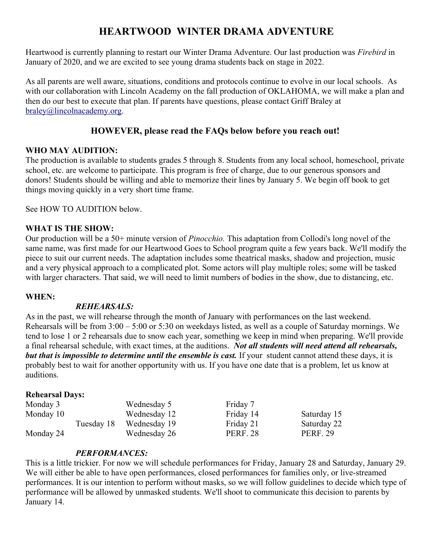# **HEARTWOOD WINTER DRAMA ADVENTURE**

Heartwood is currently planning to restart our Winter Drama Adventure. Our last production was *Firebird* in January of 2020, and we are excited to see young drama students back on stage in 2022.

As all parents are well aware, situations, conditions and protocols continue to evolve in our local schools. As with our collaboration with Lincoln Academy on the fall production of OKLAHOMA, we will make a plan and then do our best to execute that plan. If parents have questions, please contact Griff Braley at [braley@lincolnacademy.org.](mailto:braley@lincolnacademy.org)

## **HOWEVER, please read the FAQs below before you reach out!**

### **WHO MAY AUDITION:**

The production is available to students grades 5 through 8. Students from any local school, homeschool, private school, etc. are welcome to participate. This program is free of charge, due to our generous sponsors and donors! Students should be willing and able to memorize their lines by January 5. We begin off book to get things moving quickly in a very short time frame.

See HOW TO AUDITION below.

#### **WHAT IS THE SHOW:**

Our production will be a 50+ minute version of *Pinocchio.* This adaptation from Collodi's long novel of the same name, was first made for our Heartwood Goes to School program quite a few years back. We'll modify the piece to suit our current needs. The adaptation includes some theatrical masks, shadow and projection, music and a very physical approach to a complicated plot. Some actors will play multiple roles; some will be tasked with larger characters. That said, we will need to limit numbers of bodies in the show, due to distancing, etc.

#### **WHEN:**

#### *REHEARSALS:*

As in the past, we will rehearse through the month of January with performances on the last weekend. Rehearsals will be from 3:00 – 5:00 or 5:30 on weekdays listed, as well as a couple of Saturday mornings. We tend to lose 1 or 2 rehearsals due to snow each year, something we keep in mind when preparing. We'll provide a final rehearsal schedule, with exact times, at the auditions. *Not all students will need attend all rehearsals, but that is impossible to determine until the ensemble is cast.* If your student cannot attend these days, it is probably best to wait for another opportunity with us. If you have one date that is a problem, let us know at auditions.

#### **Rehearsal Days:**

| Monday 3  |            | Wednesday 5  | Friday 7        |                 |
|-----------|------------|--------------|-----------------|-----------------|
| Monday 10 |            | Wednesday 12 | Friday 14       | Saturday 15     |
|           | Tuesday 18 | Wednesday 19 | Friday 21       | Saturday 22     |
| Monday 24 |            | Wednesday 26 | <b>PERF. 28</b> | <b>PERF. 29</b> |

#### *PERFORMANCES:*

This is a little trickier. For now we will schedule performances for Friday, January 28 and Saturday, January 29. We will either be able to have open performances, closed performances for families only, or live-streamed performances. It is our intention to perform without masks, so we will follow guidelines to decide which type of performance will be allowed by unmasked students. We'll shoot to communicate this decision to parents by January 14.